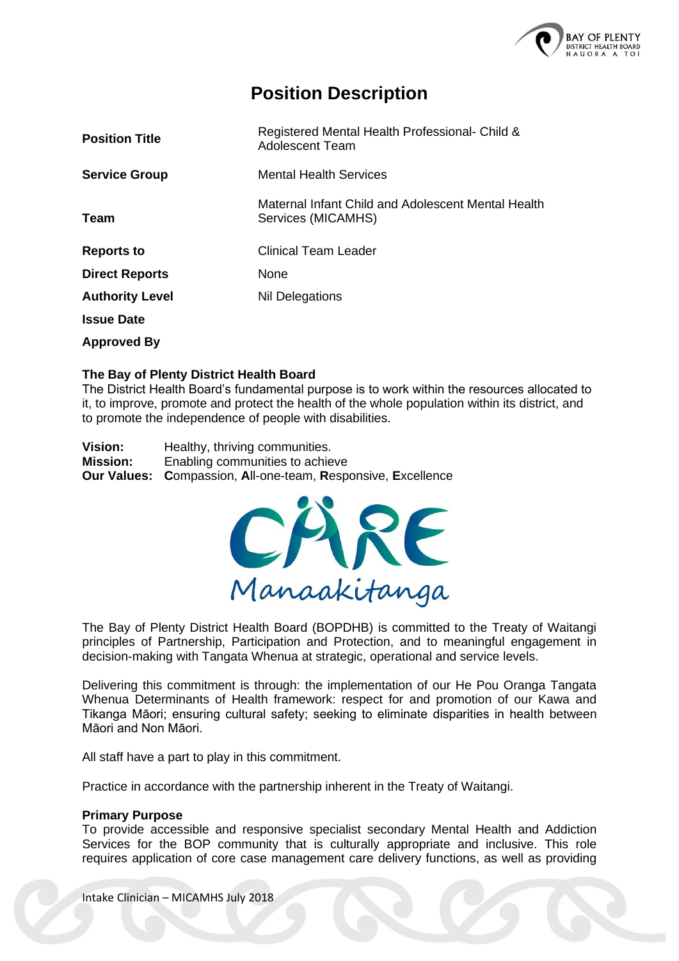

## **Position Description**

| <b>Position Title</b>  | Registered Mental Health Professional- Child &<br>Adolescent Team        |
|------------------------|--------------------------------------------------------------------------|
| <b>Service Group</b>   | <b>Mental Health Services</b>                                            |
| Team                   | Maternal Infant Child and Adolescent Mental Health<br>Services (MICAMHS) |
| <b>Reports to</b>      | Clinical Team Leader                                                     |
| <b>Direct Reports</b>  | None                                                                     |
| <b>Authority Level</b> | Nil Delegations                                                          |
| <b>Issue Date</b>      |                                                                          |
| <b>Approved By</b>     |                                                                          |

#### **The Bay of Plenty District Health Board**

The District Health Board's fundamental purpose is to work within the resources allocated to it, to improve, promote and protect the health of the whole population within its district, and to promote the independence of people with disabilities.

**Vision:** Healthy, thriving communities. **Mission:** Enabling communities to achieve **Our Values: C**ompassion, **A**ll-one-team, **R**esponsive, **E**xcellence



The Bay of Plenty District Health Board (BOPDHB) is committed to the Treaty of Waitangi principles of Partnership, Participation and Protection, and to meaningful engagement in decision-making with Tangata Whenua at strategic, operational and service levels.

Delivering this commitment is through: the implementation of our He Pou Oranga Tangata Whenua Determinants of Health framework: respect for and promotion of our Kawa and Tikanga Māori; ensuring cultural safety; seeking to eliminate disparities in health between Māori and Non Māori.

All staff have a part to play in this commitment.

Practice in accordance with the partnership inherent in the Treaty of Waitangi.

#### **Primary Purpose**

To provide accessible and responsive specialist secondary Mental Health and Addiction Services for the BOP community that is culturally appropriate and inclusive. This role requires application of core case management care delivery functions, as well as providing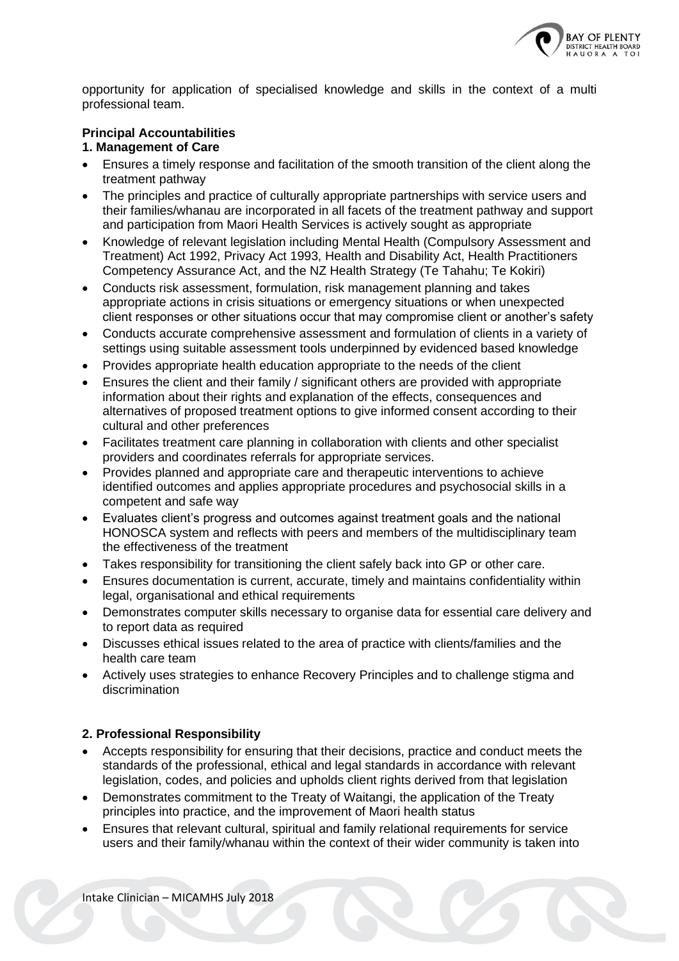

opportunity for application of specialised knowledge and skills in the context of a multi professional team.

#### **Principal Accountabilities**

#### **1. Management of Care**

- Ensures a timely response and facilitation of the smooth transition of the client along the treatment pathway
- The principles and practice of culturally appropriate partnerships with service users and their families/whanau are incorporated in all facets of the treatment pathway and support and participation from Maori Health Services is actively sought as appropriate
- Knowledge of relevant legislation including Mental Health (Compulsory Assessment and Treatment) Act 1992, Privacy Act 1993, Health and Disability Act, Health Practitioners Competency Assurance Act, and the NZ Health Strategy (Te Tahahu; Te Kokiri)
- Conducts risk assessment, formulation, risk management planning and takes appropriate actions in crisis situations or emergency situations or when unexpected client responses or other situations occur that may compromise client or another's safety
- Conducts accurate comprehensive assessment and formulation of clients in a variety of settings using suitable assessment tools underpinned by evidenced based knowledge
- Provides appropriate health education appropriate to the needs of the client
- Ensures the client and their family / significant others are provided with appropriate information about their rights and explanation of the effects, consequences and alternatives of proposed treatment options to give informed consent according to their cultural and other preferences
- Facilitates treatment care planning in collaboration with clients and other specialist providers and coordinates referrals for appropriate services.
- Provides planned and appropriate care and therapeutic interventions to achieve identified outcomes and applies appropriate procedures and psychosocial skills in a competent and safe way
- Evaluates client's progress and outcomes against treatment goals and the national HONOSCA system and reflects with peers and members of the multidisciplinary team the effectiveness of the treatment
- Takes responsibility for transitioning the client safely back into GP or other care.
- Ensures documentation is current, accurate, timely and maintains confidentiality within legal, organisational and ethical requirements
- Demonstrates computer skills necessary to organise data for essential care delivery and to report data as required
- Discusses ethical issues related to the area of practice with clients/families and the health care team
- Actively uses strategies to enhance Recovery Principles and to challenge stigma and discrimination

#### **2. Professional Responsibility**

- Accepts responsibility for ensuring that their decisions, practice and conduct meets the standards of the professional, ethical and legal standards in accordance with relevant legislation, codes, and policies and upholds client rights derived from that legislation
- Demonstrates commitment to the Treaty of Waitangi, the application of the Treaty principles into practice, and the improvement of Maori health status
- Ensures that relevant cultural, spiritual and family relational requirements for service users and their family/whanau within the context of their wider community is taken into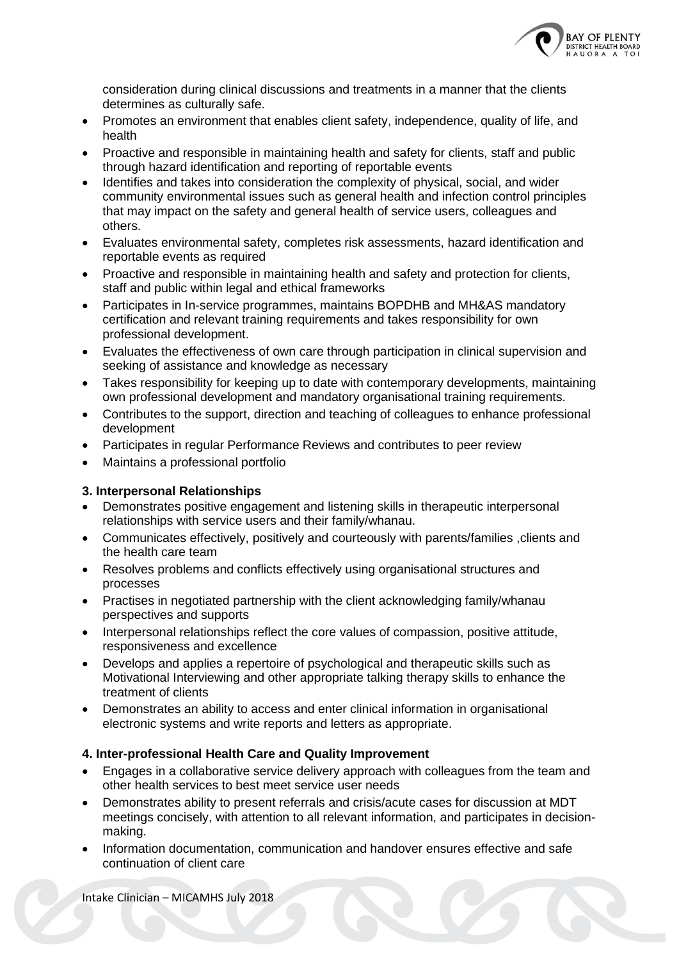

consideration during clinical discussions and treatments in a manner that the clients determines as culturally safe.

- Promotes an environment that enables client safety, independence, quality of life, and health
- Proactive and responsible in maintaining health and safety for clients, staff and public through hazard identification and reporting of reportable events
- Identifies and takes into consideration the complexity of physical, social, and wider community environmental issues such as general health and infection control principles that may impact on the safety and general health of service users, colleagues and others.
- Evaluates environmental safety, completes risk assessments, hazard identification and reportable events as required
- Proactive and responsible in maintaining health and safety and protection for clients, staff and public within legal and ethical frameworks
- Participates in In-service programmes, maintains BOPDHB and MH&AS mandatory certification and relevant training requirements and takes responsibility for own professional development.
- Evaluates the effectiveness of own care through participation in clinical supervision and seeking of assistance and knowledge as necessary
- Takes responsibility for keeping up to date with contemporary developments, maintaining own professional development and mandatory organisational training requirements.
- Contributes to the support, direction and teaching of colleagues to enhance professional development
- Participates in regular Performance Reviews and contributes to peer review
- Maintains a professional portfolio

#### **3. Interpersonal Relationships**

- Demonstrates positive engagement and listening skills in therapeutic interpersonal relationships with service users and their family/whanau.
- Communicates effectively, positively and courteously with parents/families ,clients and the health care team
- Resolves problems and conflicts effectively using organisational structures and processes
- Practises in negotiated partnership with the client acknowledging family/whanau perspectives and supports
- Interpersonal relationships reflect the core values of compassion, positive attitude, responsiveness and excellence
- Develops and applies a repertoire of psychological and therapeutic skills such as Motivational Interviewing and other appropriate talking therapy skills to enhance the treatment of clients
- Demonstrates an ability to access and enter clinical information in organisational electronic systems and write reports and letters as appropriate.

#### **4. Inter-professional Health Care and Quality Improvement**

- Engages in a collaborative service delivery approach with colleagues from the team and other health services to best meet service user needs
- Demonstrates ability to present referrals and crisis/acute cases for discussion at MDT meetings concisely, with attention to all relevant information, and participates in decisionmaking.
- Information documentation, communication and handover ensures effective and safe continuation of client care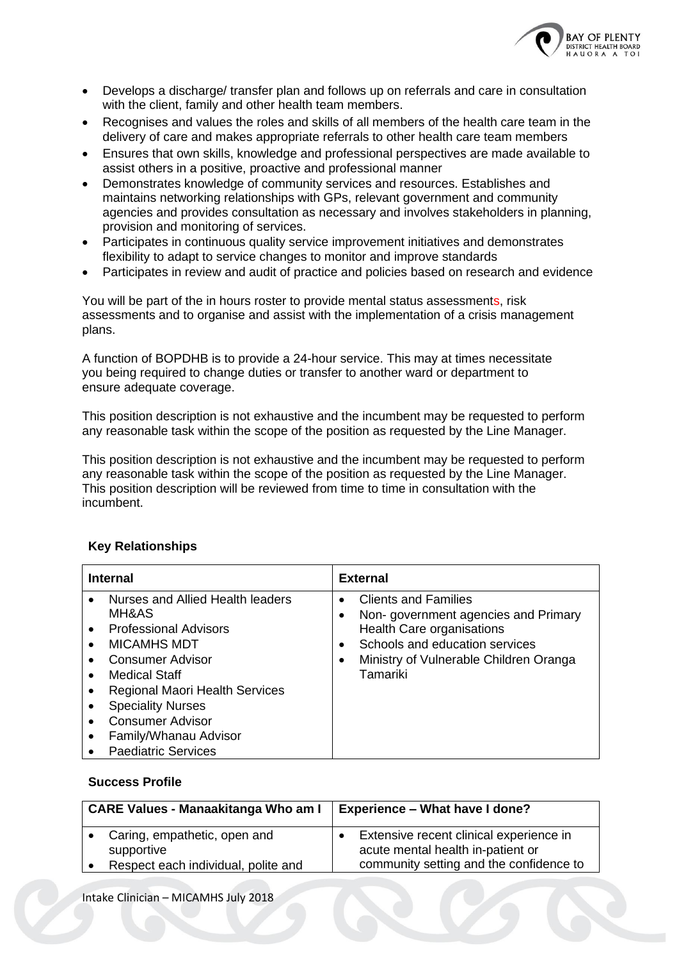

- Develops a discharge/ transfer plan and follows up on referrals and care in consultation with the client, family and other health team members.
- Recognises and values the roles and skills of all members of the health care team in the delivery of care and makes appropriate referrals to other health care team members
- Ensures that own skills, knowledge and professional perspectives are made available to assist others in a positive, proactive and professional manner
- Demonstrates knowledge of community services and resources. Establishes and maintains networking relationships with GPs, relevant government and community agencies and provides consultation as necessary and involves stakeholders in planning, provision and monitoring of services.
- Participates in continuous quality service improvement initiatives and demonstrates flexibility to adapt to service changes to monitor and improve standards
- Participates in review and audit of practice and policies based on research and evidence

You will be part of the in hours roster to provide mental status assessments, risk assessments and to organise and assist with the implementation of a crisis management plans.

A function of BOPDHB is to provide a 24-hour service. This may at times necessitate you being required to change duties or transfer to another ward or department to ensure adequate coverage.

This position description is not exhaustive and the incumbent may be requested to perform any reasonable task within the scope of the position as requested by the Line Manager.

This position description is not exhaustive and the incumbent may be requested to perform any reasonable task within the scope of the position as requested by the Line Manager. This position description will be reviewed from time to time in consultation with the incumbent.

| <b>Internal</b>                                                                                                                                                                                                                                                                                                 | <b>External</b>                                                                                                                                                                                                |  |
|-----------------------------------------------------------------------------------------------------------------------------------------------------------------------------------------------------------------------------------------------------------------------------------------------------------------|----------------------------------------------------------------------------------------------------------------------------------------------------------------------------------------------------------------|--|
| Nurses and Allied Health leaders<br>MH&AS<br><b>Professional Advisors</b><br>$\bullet$<br><b>MICAMHS MDT</b><br><b>Consumer Advisor</b><br>Medical Staff<br><b>Regional Maori Health Services</b><br><b>Speciality Nurses</b><br><b>Consumer Advisor</b><br>Family/Whanau Advisor<br><b>Paediatric Services</b> | <b>Clients and Families</b><br>$\bullet$<br>Non-government agencies and Primary<br>Health Care organisations<br>Schools and education services<br>٠<br>Ministry of Vulnerable Children Oranga<br>٠<br>Tamariki |  |

#### **Key Relationships**

#### **Success Profile**

| <b>CARE Values - Manaakitanga Who am I</b> |                                                                                   | <b>Experience - What have I done?</b> |                                                                                                                         |
|--------------------------------------------|-----------------------------------------------------------------------------------|---------------------------------------|-------------------------------------------------------------------------------------------------------------------------|
|                                            | Caring, empathetic, open and<br>supportive<br>Respect each individual, polite and |                                       | Extensive recent clinical experience in<br>acute mental health in-patient or<br>community setting and the confidence to |
|                                            |                                                                                   |                                       |                                                                                                                         |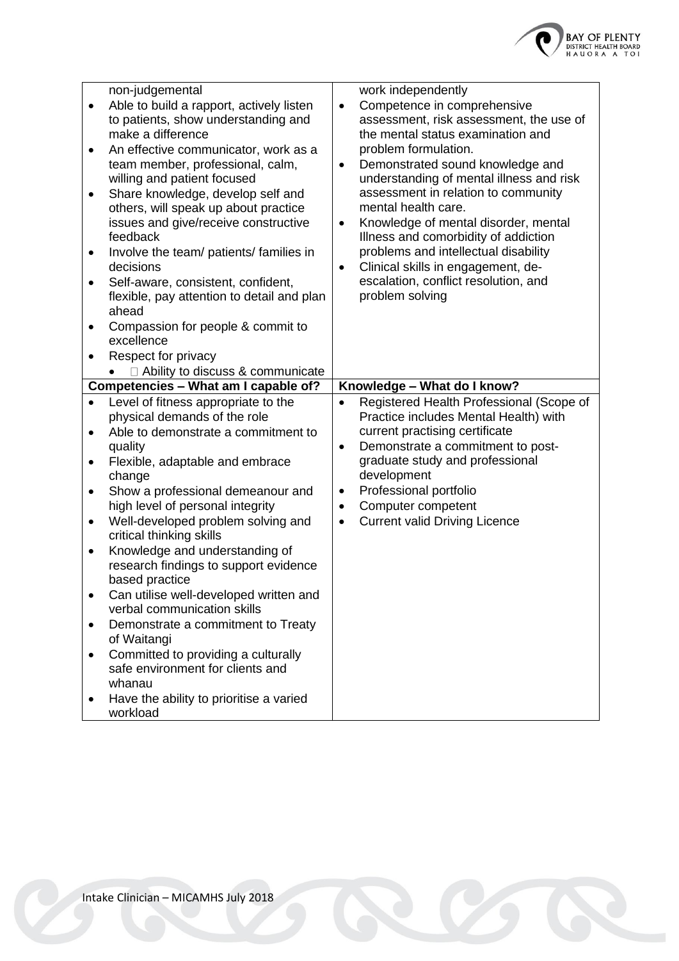

| $\bullet$<br>٠<br>٠<br>٠<br>٠<br>٠    | non-judgemental<br>Able to build a rapport, actively listen<br>to patients, show understanding and<br>make a difference<br>An effective communicator, work as a<br>team member, professional, calm,<br>willing and patient focused<br>Share knowledge, develop self and<br>others, will speak up about practice<br>issues and give/receive constructive<br>feedback<br>Involve the team/ patients/ families in<br>decisions<br>Self-aware, consistent, confident,<br>flexible, pay attention to detail and plan<br>ahead<br>Compassion for people & commit to<br>excellence | work independently<br>Competence in comprehensive<br>$\bullet$<br>assessment, risk assessment, the use of<br>the mental status examination and<br>problem formulation.<br>Demonstrated sound knowledge and<br>$\bullet$<br>understanding of mental illness and risk<br>assessment in relation to community<br>mental health care.<br>Knowledge of mental disorder, mental<br>$\bullet$<br>Illness and comorbidity of addiction<br>problems and intellectual disability<br>Clinical skills in engagement, de-<br>$\bullet$<br>escalation, conflict resolution, and<br>problem solving |
|---------------------------------------|-----------------------------------------------------------------------------------------------------------------------------------------------------------------------------------------------------------------------------------------------------------------------------------------------------------------------------------------------------------------------------------------------------------------------------------------------------------------------------------------------------------------------------------------------------------------------------|--------------------------------------------------------------------------------------------------------------------------------------------------------------------------------------------------------------------------------------------------------------------------------------------------------------------------------------------------------------------------------------------------------------------------------------------------------------------------------------------------------------------------------------------------------------------------------------|
|                                       | Respect for privacy<br>□ Ability to discuss & communicate                                                                                                                                                                                                                                                                                                                                                                                                                                                                                                                   |                                                                                                                                                                                                                                                                                                                                                                                                                                                                                                                                                                                      |
|                                       | Competencies - What am I capable of?                                                                                                                                                                                                                                                                                                                                                                                                                                                                                                                                        | Knowledge - What do I know?                                                                                                                                                                                                                                                                                                                                                                                                                                                                                                                                                          |
| $\bullet$<br>٠<br>٠<br>٠<br>$\bullet$ | Level of fitness appropriate to the<br>physical demands of the role<br>Able to demonstrate a commitment to<br>quality<br>Flexible, adaptable and embrace<br>change<br>Show a professional demeanour and<br>high level of personal integrity<br>Well-developed problem solving and<br>critical thinking skills<br>Knowledge and understanding of<br>research findings to support evidence<br>based practice<br>Can utilise well-developed written and<br>verbal communication skills<br>Demonstrate a commitment to Treaty<br>of Waitangi                                    | Registered Health Professional (Scope of<br>$\bullet$<br>Practice includes Mental Health) with<br>current practising certificate<br>Demonstrate a commitment to post-<br>$\bullet$<br>graduate study and professional<br>development<br>Professional portfolio<br>$\bullet$<br>Computer competent<br>$\bullet$<br><b>Current valid Driving Licence</b><br>$\bullet$                                                                                                                                                                                                                  |
| ٠                                     | Committed to providing a culturally<br>safe environment for clients and<br>whanau<br>Have the ability to prioritise a varied<br>workload                                                                                                                                                                                                                                                                                                                                                                                                                                    |                                                                                                                                                                                                                                                                                                                                                                                                                                                                                                                                                                                      |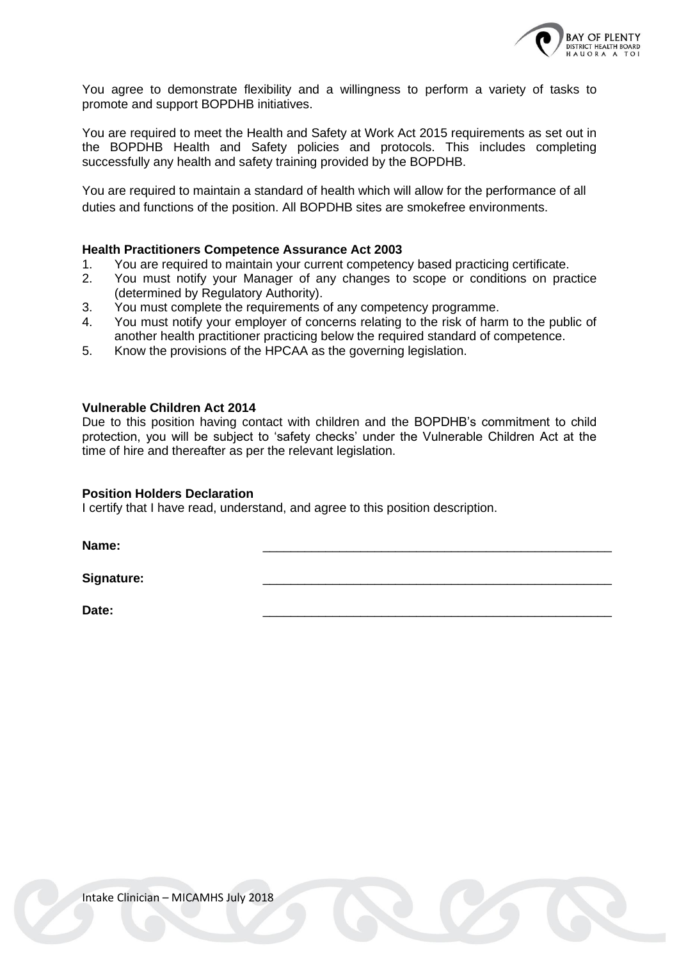

You agree to demonstrate flexibility and a willingness to perform a variety of tasks to promote and support BOPDHB initiatives.

You are required to meet the Health and Safety at Work Act 2015 requirements as set out in the BOPDHB Health and Safety policies and protocols. This includes completing successfully any health and safety training provided by the BOPDHB.

You are required to maintain a standard of health which will allow for the performance of all duties and functions of the position. All BOPDHB sites are smokefree environments.

#### **Health Practitioners Competence Assurance Act 2003**

- 1. You are required to maintain your current competency based practicing certificate.
- 2. You must notify your Manager of any changes to scope or conditions on practice (determined by Regulatory Authority).
- 3. You must complete the requirements of any competency programme.
- 4. You must notify your employer of concerns relating to the risk of harm to the public of another health practitioner practicing below the required standard of competence.
- 5. Know the provisions of the HPCAA as the governing legislation.

#### **Vulnerable Children Act 2014**

Due to this position having contact with children and the BOPDHB's commitment to child protection, you will be subject to 'safety checks' under the Vulnerable Children Act at the time of hire and thereafter as per the relevant legislation.

#### **Position Holders Declaration**

I certify that I have read, understand, and agree to this position description.

**Name:** \_\_\_\_\_\_\_\_\_\_\_\_\_\_\_\_\_\_\_\_\_\_\_\_\_\_\_\_\_\_\_\_\_\_\_\_\_\_\_\_\_\_\_\_\_\_\_\_\_\_

Signature:

**Date:** \_\_\_\_\_\_\_\_\_\_\_\_\_\_\_\_\_\_\_\_\_\_\_\_\_\_\_\_\_\_\_\_\_\_\_\_\_\_\_\_\_\_\_\_\_\_\_\_\_\_